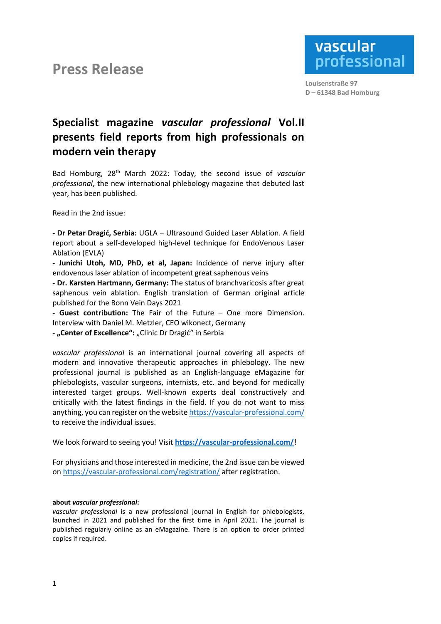## **Press Release**



 **Louisenstraße 97 D – 61348 Bad Homburg**

## **Specialist magazine** *vascular professional* **Vol.II presents field reports from high professionals on modern vein therapy**

Bad Homburg, 28th March 2022: Today, the second issue of *vascular professional*, the new international phlebology magazine that debuted last year, has been published.

Read in the 2nd issue:

**- Dr Petar Dragić, Serbia:** UGLA ‒ Ultrasound Guided Laser Ablation. A field report about a self-developed high-level technique for EndoVenous Laser Ablation (EVLA)

**- Junichi Utoh, MD, PhD, et al, Japan:** Incidence of nerve injury after endovenous laser ablation of incompetent great saphenous veins

**- Dr. Karsten Hartmann, Germany:** The status of branchvaricosis after great saphenous vein ablation. English translation of German original article published for the Bonn Vein Days 2021

**- Guest contribution:** The Fair of the Future – One more Dimension. Interview with Daniel M. Metzler, CEO wikonect, Germany

**- "Center of Excellence":** "Clinic Dr Dragić" in Serbia

*vascular professional* is an international journal covering all aspects of modern and innovative therapeutic approaches in phlebology. The new professional journal is published as an English-language eMagazine for phlebologists, vascular surgeons, internists, etc. and beyond for medically interested target groups. Well-known experts deal constructively and critically with the latest findings in the field. If you do not want to miss anything, you can register on the websit[e https://vascular-professional.com/](https://vascular-professional.com/) to receive the individual issues.

We look forward to seeing you! Visit **<https://vascular-professional.com/>**!

For physicians and those interested in medicine, the 2nd issue can be viewed on <https://vascular-professional.com/registration/> after registration.

## **about** *vascular professional***:**

*vascular professional* is a new professional journal in English for phlebologists, launched in 2021 and published for the first time in April 2021. The journal is published regularly online as an eMagazine. There is an option to order printed copies if required.